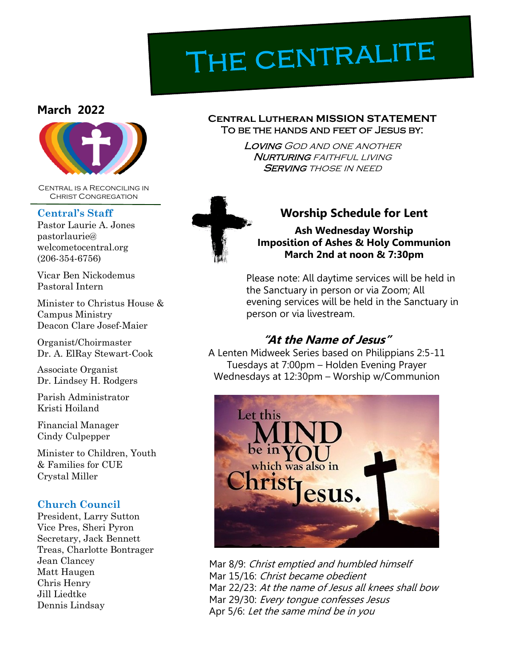# THE CENTRALITE

#### **March 2022**



Central is a Reconciling in Christ Congregation

#### **Central's Staff**

Pastor Laurie A. Jones pastorlaurie@ welcometocentral.org (206-354-6756)

Vicar Ben Nickodemus Pastoral Intern

Minister to Christus House & Campus Ministry Deacon Clare Josef-Maier

Organist/Choirmaster Dr. A. ElRay Stewart-Cook

Associate Organist Dr. Lindsey H. Rodgers

Parish Administrator Kristi Hoiland

Financial Manager Cindy Culpepper

Minister to Children, Youth & Families for CUE Crystal Miller

#### **Church Council**

President, Larry Sutton Vice Pres, Sheri Pyron Secretary, Jack Bennett Treas, Charlotte Bontrager Jean Clancey Matt Haugen Chris Henry Jill Liedtke Dennis Lindsay

#### **CENTRAL LUTHERAN MISSION STATEMENT** To be the hands and feet of Jesus by:

Loving God and one another **NURTURING** FAITHFUL LIVING **SERVING THOSE IN NEED** 



## **Worship Schedule for Lent**

**Ash Wednesday Worship Imposition of Ashes & Holy Communion March 2nd at noon & 7:30pm**

Please note: All daytime services will be held in the Sanctuary in person or via Zoom; All evening services will be held in the Sanctuary in person or via livestream.

## **"At the Name of Jesus"**

A Lenten Midweek Series based on Philippians 2:5-11 Tuesdays at 7:00pm – Holden Evening Prayer Wednesdays at 12:30pm – Worship w/Communion



Mar 8/9: Christ emptied and humbled himself Mar 15/16: Christ became obedient Mar 22/23: At the name of Jesus all knees shall bow Mar 29/30: Every tonque confesses Jesus Apr 5/6: Let the same mind be in you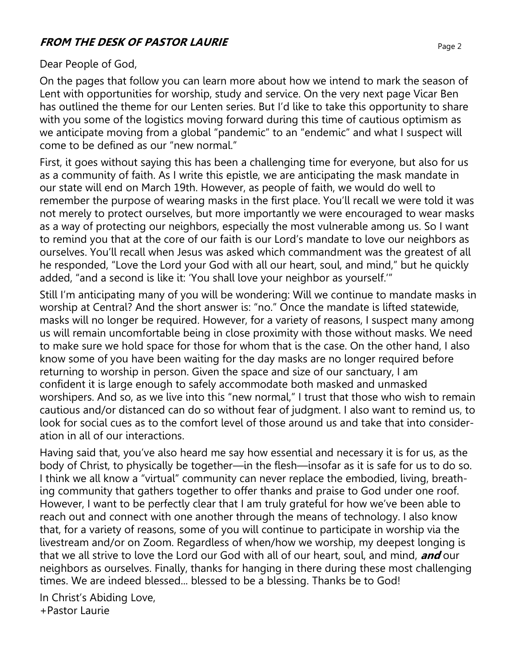## **FROM THE DESK OF PASTOR LAURIE**

#### Dear People of God,

On the pages that follow you can learn more about how we intend to mark the season of Lent with opportunities for worship, study and service. On the very next page Vicar Ben has outlined the theme for our Lenten series. But I'd like to take this opportunity to share with you some of the logistics moving forward during this time of cautious optimism as we anticipate moving from a global "pandemic" to an "endemic" and what I suspect will come to be defined as our "new normal."

First, it goes without saying this has been a challenging time for everyone, but also for us as a community of faith. As I write this epistle, we are anticipating the mask mandate in our state will end on March 19th. However, as people of faith, we would do well to remember the purpose of wearing masks in the first place. You'll recall we were told it was not merely to protect ourselves, but more importantly we were encouraged to wear masks as a way of protecting our neighbors, especially the most vulnerable among us. So I want to remind you that at the core of our faith is our Lord's mandate to love our neighbors as ourselves. You'll recall when Jesus was asked which commandment was the greatest of all he responded, "Love the Lord your God with all our heart, soul, and mind," but he quickly added, "and a second is like it: 'You shall love your neighbor as yourself.'"

Still I'm anticipating many of you will be wondering: Will we continue to mandate masks in worship at Central? And the short answer is: "no." Once the mandate is lifted statewide, masks will no longer be required. However, for a variety of reasons, I suspect many among us will remain uncomfortable being in close proximity with those without masks. We need to make sure we hold space for those for whom that is the case. On the other hand, I also know some of you have been waiting for the day masks are no longer required before returning to worship in person. Given the space and size of our sanctuary, I am confident it is large enough to safely accommodate both masked and unmasked worshipers. And so, as we live into this "new normal," I trust that those who wish to remain cautious and/or distanced can do so without fear of judgment. I also want to remind us, to look for social cues as to the comfort level of those around us and take that into consideration in all of our interactions.

Having said that, you've also heard me say how essential and necessary it is for us, as the body of Christ, to physically be together—in the flesh—insofar as it is safe for us to do so. I think we all know a "virtual" community can never replace the embodied, living, breathing community that gathers together to offer thanks and praise to God under one roof. However, I want to be perfectly clear that I am truly grateful for how we've been able to reach out and connect with one another through the means of technology. I also know that, for a variety of reasons, some of you will continue to participate in worship via the livestream and/or on Zoom. Regardless of when/how we worship, my deepest longing is that we all strive to love the Lord our God with all of our heart, soul, and mind, **and** our neighbors as ourselves. Finally, thanks for hanging in there during these most challenging times. We are indeed blessed... blessed to be a blessing. Thanks be to God!

In Christ's Abiding Love, +Pastor Laurie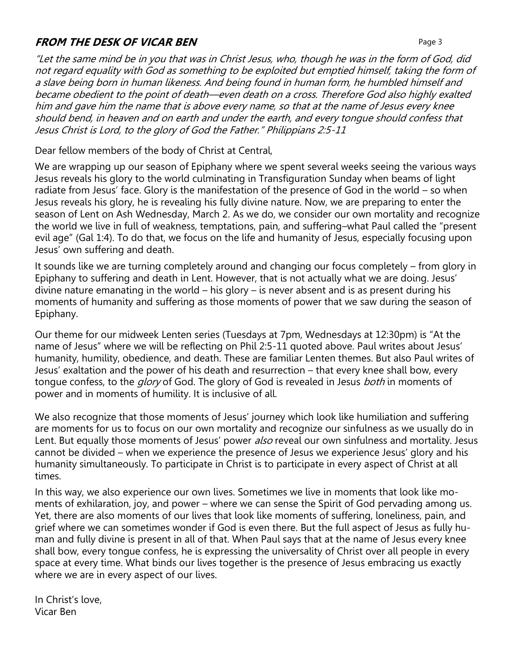## **FROM THE DESK OF VICAR BEN Page 3**

"Let the same mind be in you that was in Christ Jesus, who, though he was in the form of God, did not regard equality with God as something to be exploited but emptied himself, taking the form of a slave being born in human likeness. And being found in human form, he humbled himself and became obedient to the point of death—even death on a cross. Therefore God also highly exalted him and gave him the name that is above every name, so that at the name of Jesus every knee should bend, in heaven and on earth and under the earth, and every tongue should confess that Jesus Christ is Lord, to the glory of God the Father." Philippians 2:5-11

Dear fellow members of the body of Christ at Central,

We are wrapping up our season of Epiphany where we spent several weeks seeing the various ways Jesus reveals his glory to the world culminating in Transfiguration Sunday when beams of light radiate from Jesus' face. Glory is the manifestation of the presence of God in the world – so when Jesus reveals his glory, he is revealing his fully divine nature. Now, we are preparing to enter the season of Lent on Ash Wednesday, March 2. As we do, we consider our own mortality and recognize the world we live in full of weakness, temptations, pain, and suffering–what Paul called the "present evil age" (Gal 1:4). To do that, we focus on the life and humanity of Jesus, especially focusing upon Jesus' own suffering and death.

It sounds like we are turning completely around and changing our focus completely – from glory in Epiphany to suffering and death in Lent. However, that is not actually what we are doing. Jesus' divine nature emanating in the world – his glory – is never absent and is as present during his moments of humanity and suffering as those moments of power that we saw during the season of Epiphany.

Our theme for our midweek Lenten series (Tuesdays at 7pm, Wednesdays at 12:30pm) is "At the name of Jesus" where we will be reflecting on Phil 2:5-11 quoted above. Paul writes about Jesus' humanity, humility, obedience, and death. These are familiar Lenten themes. But also Paul writes of Jesus' exaltation and the power of his death and resurrection – that every knee shall bow, every tongue confess, to the *glory* of God. The glory of God is revealed in Jesus *both* in moments of power and in moments of humility. It is inclusive of all.

We also recognize that those moments of Jesus' journey which look like humiliation and suffering are moments for us to focus on our own mortality and recognize our sinfulness as we usually do in Lent. But equally those moments of Jesus' power also reveal our own sinfulness and mortality. Jesus cannot be divided – when we experience the presence of Jesus we experience Jesus' glory and his humanity simultaneously. To participate in Christ is to participate in every aspect of Christ at all times.

In this way, we also experience our own lives. Sometimes we live in moments that look like moments of exhilaration, joy, and power – where we can sense the Spirit of God pervading among us. Yet, there are also moments of our lives that look like moments of suffering, loneliness, pain, and grief where we can sometimes wonder if God is even there. But the full aspect of Jesus as fully human and fully divine is present in all of that. When Paul says that at the name of Jesus every knee shall bow, every tongue confess, he is expressing the universality of Christ over all people in every space at every time. What binds our lives together is the presence of Jesus embracing us exactly where we are in every aspect of our lives.

In Christ's love, Vicar Ben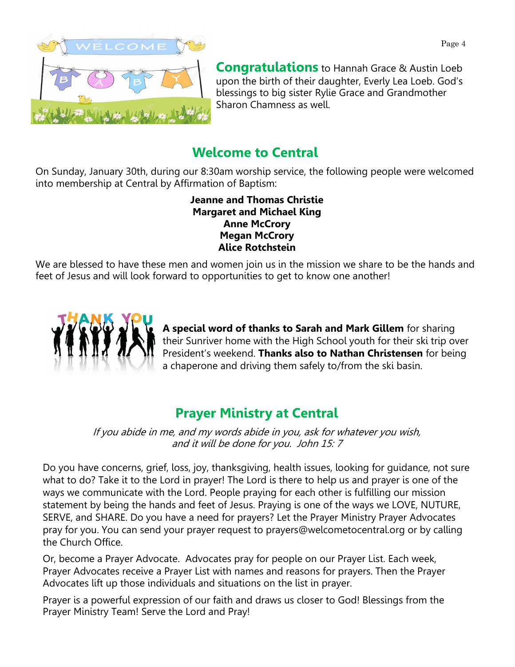



**Congratulations** to Hannah Grace & Austin Loeb upon the birth of their daughter, Everly Lea Loeb. God's blessings to big sister Rylie Grace and Grandmother Sharon Chamness as well.

# **Welcome to Central**

On Sunday, January 30th, during our 8:30am worship service, the following people were welcomed into membership at Central by Affirmation of Baptism:

> **Jeanne and Thomas Christie Margaret and Michael King Anne McCrory Megan McCrory Alice Rotchstein**

We are blessed to have these men and women join us in the mission we share to be the hands and feet of Jesus and will look forward to opportunities to get to know one another!



**A special word of thanks to Sarah and Mark Gillem** for sharing their Sunriver home with the High School youth for their ski trip over President's weekend. **Thanks also to Nathan Christensen** for being a chaperone and driving them safely to/from the ski basin.

# **Prayer Ministry at Central**

If you abide in me, and my words abide in you, ask for whatever you wish, and it will be done for you. John 15: 7

Do you have concerns, grief, loss, joy, thanksgiving, health issues, looking for guidance, not sure what to do? Take it to the Lord in prayer! The Lord is there to help us and prayer is one of the ways we communicate with the Lord. People praying for each other is fulfilling our mission statement by being the hands and feet of Jesus. Praying is one of the ways we LOVE, NUTURE, SERVE, and SHARE. Do you have a need for prayers? Let the Prayer Ministry Prayer Advocates pray for you. You can send your prayer request to prayers@welcometocentral.org or by calling the Church Office.

Or, become a Prayer Advocate. Advocates pray for people on our Prayer List. Each week, Prayer Advocates receive a Prayer List with names and reasons for prayers. Then the Prayer Advocates lift up those individuals and situations on the list in prayer.

Prayer is a powerful expression of our faith and draws us closer to God! Blessings from the Prayer Ministry Team! Serve the Lord and Pray!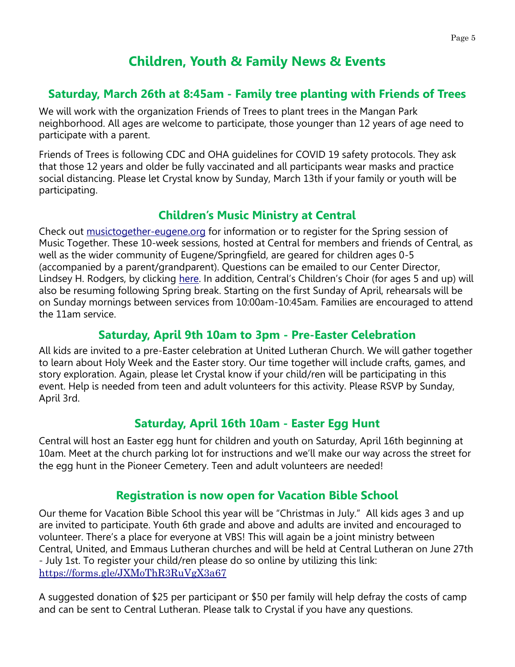## **Children, Youth & Family News & Events**

## **Saturday, March 26th at 8:45am - Family tree planting with Friends of Trees**

We will work with the organization Friends of Trees to plant trees in the Mangan Park neighborhood. All ages are welcome to participate, those younger than 12 years of age need to participate with a parent.

Friends of Trees is following CDC and OHA guidelines for COVID 19 safety protocols. They ask that those 12 years and older be fully vaccinated and all participants wear masks and practice social distancing. Please let Crystal know by Sunday, March 13th if your family or youth will be participating.

## **Children's Music Ministry at Central**

Check out [musictogether-eugene.org](https://www.musictogethereugene.com/) for information or to register for the Spring session of Music Together. These 10-week sessions, hosted at Central for members and friends of Central, as well as the wider community of Eugene/Springfield, are geared for children ages 0-5 (accompanied by a parent/grandparent). Questions can be emailed to our Center Director, Lindsey H. Rodgers, by clicking [here](mailto:hello.everybody.eugene@gmail.com). In addition, Central's Children's Choir (for ages 5 and up) will also be resuming following Spring break. Starting on the first Sunday of April, rehearsals will be on Sunday mornings between services from 10:00am-10:45am. Families are encouraged to attend the 11am service.

## **Saturday, April 9th 10am to 3pm - Pre-Easter Celebration**

All kids are invited to a pre-Easter celebration at United Lutheran Church. We will gather together to learn about Holy Week and the Easter story. Our time together will include crafts, games, and story exploration. Again, please let Crystal know if your child/ren will be participating in this event. Help is needed from teen and adult volunteers for this activity. Please RSVP by Sunday, April 3rd.

## **Saturday, April 16th 10am - Easter Egg Hunt**

Central will host an Easter egg hunt for children and youth on Saturday, April 16th beginning at 10am. Meet at the church parking lot for instructions and we'll make our way across the street for the egg hunt in the Pioneer Cemetery. Teen and adult volunteers are needed!

## **Registration is now open for Vacation Bible School**

Our theme for Vacation Bible School this year will be "Christmas in July." All kids ages 3 and up are invited to participate. Youth 6th grade and above and adults are invited and encouraged to volunteer. There's a place for everyone at VBS! This will again be a joint ministry between Central, United, and Emmaus Lutheran churches and will be held at Central Lutheran on June 27th - July 1st. To register your child/ren please do so online by utilizing this link: <https://forms.gle/JXMoThR3RuVgX3a67>

A suggested donation of \$25 per participant or \$50 per family will help defray the costs of camp and can be sent to Central Lutheran. Please talk to Crystal if you have any questions.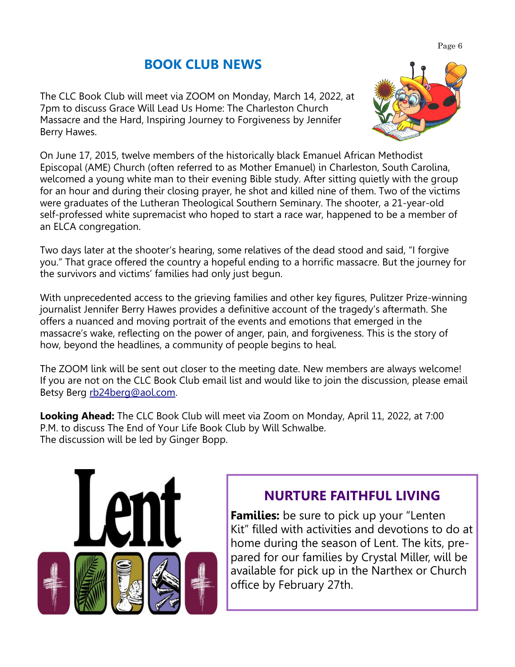# **BOOK CLUB NEWS**

The CLC Book Club will meet via ZOOM on Monday, March 14, 2022, at 7pm to discuss Grace Will Lead Us Home: The Charleston Church Massacre and the Hard, Inspiring Journey to Forgiveness by Jennifer Berry Hawes.

On June 17, 2015, twelve members of the historically black Emanuel African Methodist Episcopal (AME) Church (often referred to as Mother Emanuel) in Charleston, South Carolina, welcomed a young white man to their evening Bible study. After sitting quietly with the group for an hour and during their closing prayer, he shot and killed nine of them. Two of the victims were graduates of the Lutheran Theological Southern Seminary. The shooter, a 21-year-old

Two days later at the shooter's hearing, some relatives of the dead stood and said, "I forgive you." That grace offered the country a hopeful ending to a horrific massacre. But the journey for the survivors and victims' families had only just begun.

self-professed white supremacist who hoped to start a race war, happened to be a member of

With unprecedented access to the grieving families and other key figures, Pulitzer Prize-winning journalist Jennifer Berry Hawes provides a definitive account of the tragedy's aftermath. She offers a nuanced and moving portrait of the events and emotions that emerged in the massacre's wake, reflecting on the power of anger, pain, and forgiveness. This is the story of how, beyond the headlines, a community of people begins to heal.

The ZOOM link will be sent out closer to the meeting date. New members are always welcome! If you are not on the CLC Book Club email list and would like to join the discussion, please email Betsy Berg [rb24berg@aol.com.](mailto:rb24berg@aol.com)

**Looking Ahead:** The CLC Book Club will meet via Zoom on Monday, April 11, 2022, at 7:00 P.M. to discuss The End of Your Life Book Club by Will Schwalbe. The discussion will be led by Ginger Bopp.



an ELCA congregation.

# **NURTURE FAITHFUL LIVING**

**Families:** be sure to pick up your "Lenten Kit" filled with activities and devotions to do at home during the season of Lent. The kits, prepared for our families by Crystal Miller, will be available for pick up in the Narthex or Church office by February 27th.

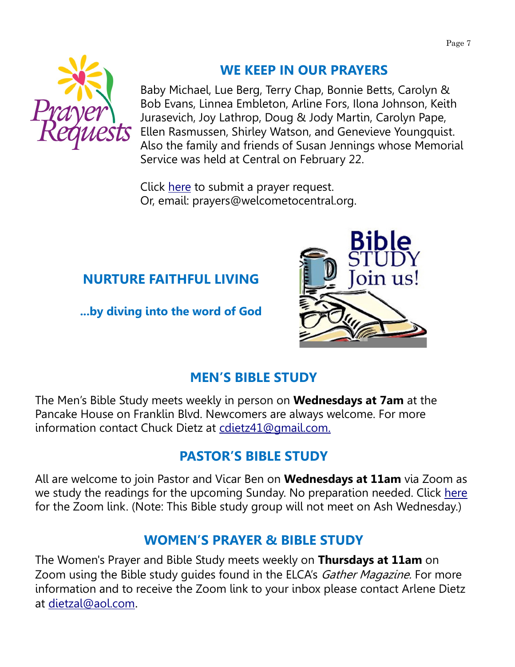

# **WE KEEP IN OUR PRAYERS**

Baby Michael, Lue Berg, Terry Chap, Bonnie Betts, Carolyn & Bob Evans, Linnea Embleton, Arline Fors, Ilona Johnson, Keith Jurasevich, Joy Lathrop, Doug & Jody Martin, Carolyn Pape, Ellen Rasmussen, Shirley Watson, and Genevieve Youngquist. Also the family and friends of Susan Jennings whose Memorial Service was held at Central on February 22.

Click [here](mailto:prayers@welcometocentral.org?subject=Prayer%20Request) to submit a prayer request. Or, email: prayers@welcometocentral.org.

# **NURTURE FAITHFUL LIVING**

**...by diving into the word of God**



# **MEN'S BIBLE STUDY**

The Men's Bible Study meets weekly in person on **Wednesdays at 7am** at the Pancake House on Franklin Blvd. Newcomers are always welcome. For more information contact Chuck Dietz at [cdietz41@gmail.com.](mailto:cdietz41@gmail.com)

# **PASTOR'S BIBLE STUDY**

All are welcome to join Pastor and Vicar Ben on **Wednesdays at 11am** via Zoom as we study the readings for the upcoming Sunday. No preparation needed. Click [here](mailto:pastorlaurie@welcometocentral.org?subject=Send%20me%20the%20Zoom%20Link%20for%20Bible%20Study) for the Zoom link. (Note: This Bible study group will not meet on Ash Wednesday.)

## **WOMEN'S PRAYER & BIBLE STUDY**

The Women's Prayer and Bible Study meets weekly on **Thursdays at 11am** on Zoom using the Bible study quides found in the ELCA's Gather Magazine. For more information and to receive the Zoom link to your inbox please contact Arlene Dietz at [dietzal@aol.com](mailto:dietzal@aol.com).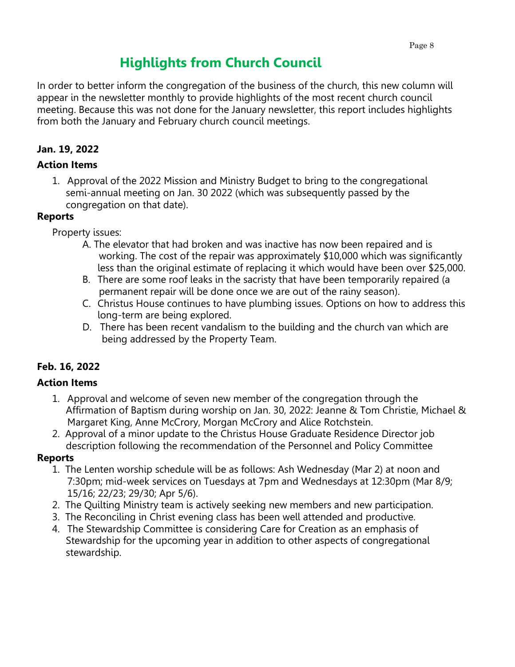# **Highlights from Church Council**

In order to better inform the congregation of the business of the church, this new column will appear in the newsletter monthly to provide highlights of the most recent church council meeting. Because this was not done for the January newsletter, this report includes highlights from both the January and February church council meetings.

## **Jan. 19, 2022**

#### **Action Items**

1. Approval of the 2022 Mission and Ministry Budget to bring to the congregational semi-annual meeting on Jan. 30 2022 (which was subsequently passed by the congregation on that date).

#### **Reports**

Property issues:

- A. The elevator that had broken and was inactive has now been repaired and is working. The cost of the repair was approximately \$10,000 which was significantly less than the original estimate of replacing it which would have been over \$25,000.
- B. There are some roof leaks in the sacristy that have been temporarily repaired (a permanent repair will be done once we are out of the rainy season).
- C. Christus House continues to have plumbing issues. Options on how to address this long-term are being explored.
- D. There has been recent vandalism to the building and the church van which are being addressed by the Property Team.

## **Feb. 16, 2022**

## **Action Items**

- 1. Approval and welcome of seven new member of the congregation through the Affirmation of Baptism during worship on Jan. 30, 2022: Jeanne & Tom Christie, Michael & Margaret King, Anne McCrory, Morgan McCrory and Alice Rotchstein.
- 2. Approval of a minor update to the Christus House Graduate Residence Director job description following the recommendation of the Personnel and Policy Committee

## **Reports**

- 1. The Lenten worship schedule will be as follows: Ash Wednesday (Mar 2) at noon and 7:30pm; mid-week services on Tuesdays at 7pm and Wednesdays at 12:30pm (Mar 8/9; 15/16; 22/23; 29/30; Apr 5/6).
- 2. The Quilting Ministry team is actively seeking new members and new participation.
- 3. The Reconciling in Christ evening class has been well attended and productive.
- 4. The Stewardship Committee is considering Care for Creation as an emphasis of Stewardship for the upcoming year in addition to other aspects of congregational stewardship.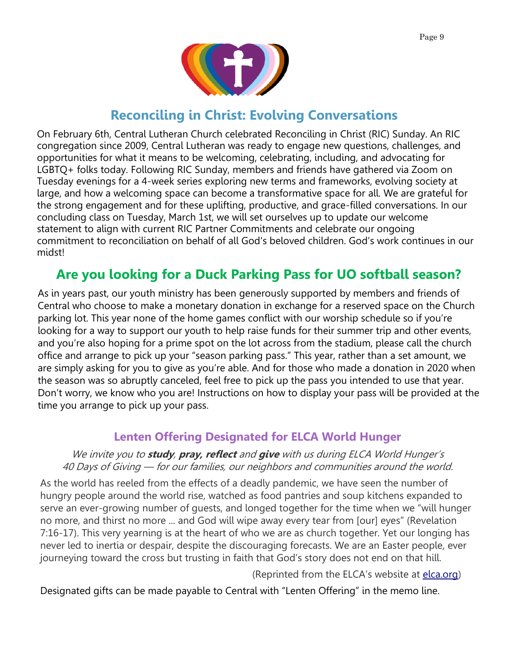

## **Reconciling in Christ: Evolving Conversations**

On February 6th, Central Lutheran Church celebrated Reconciling in Christ (RIC) Sunday. An RIC congregation since 2009, Central Lutheran was ready to engage new questions, challenges, and opportunities for what it means to be welcoming, celebrating, including, and advocating for LGBTQ+ folks today. Following RIC Sunday, members and friends have gathered via Zoom on Tuesday evenings for a 4-week series exploring new terms and frameworks, evolving society at large, and how a welcoming space can become a transformative space for all. We are grateful for the strong engagement and for these uplifting, productive, and grace-filled conversations. In our concluding class on Tuesday, March 1st, we will set ourselves up to update our welcome statement to align with current RIC Partner Commitments and celebrate our ongoing commitment to reconciliation on behalf of all God's beloved children. God's work continues in our midst!

# **Are you looking for a Duck Parking Pass for UO softball season?**

As in years past, our youth ministry has been generously supported by members and friends of Central who choose to make a monetary donation in exchange for a reserved space on the Church parking lot. This year none of the home games conflict with our worship schedule so if you're looking for a way to support our youth to help raise funds for their summer trip and other events, and you're also hoping for a prime spot on the lot across from the stadium, please call the church office and arrange to pick up your "season parking pass." This year, rather than a set amount, we are simply asking for you to give as you're able. And for those who made a donation in 2020 when the season was so abruptly canceled, feel free to pick up the pass you intended to use that year. Don't worry, we know who you are! Instructions on how to display your pass will be provided at the time you arrange to pick up your pass.

## **Lenten Offering Designated for ELCA World Hunger**

#### We invite you to **study**, **pray, reflect** and **give** with us during ELCA World Hunger's 40 Days of Giving — for our families, our neighbors and communities around the world.

As the world has reeled from the effects of a deadly pandemic, we have seen the number of hungry people around the world rise, watched as food pantries and soup kitchens expanded to serve an ever-growing number of guests, and longed together for the time when we "will hunger no more, and thirst no more ... and God will wipe away every tear from [our] eyes" (Revelation 7:16-17). This very yearning is at the heart of who we are as church together. Yet our longing has never led to inertia or despair, despite the discouraging forecasts. We are an Easter people, ever journeying toward the cross but trusting in faith that God's story does not end on that hill.

(Reprinted from the ELCA's website at [elca.org\)](http://www.elca.org)

Designated gifts can be made payable to Central with "Lenten Offering" in the memo line.